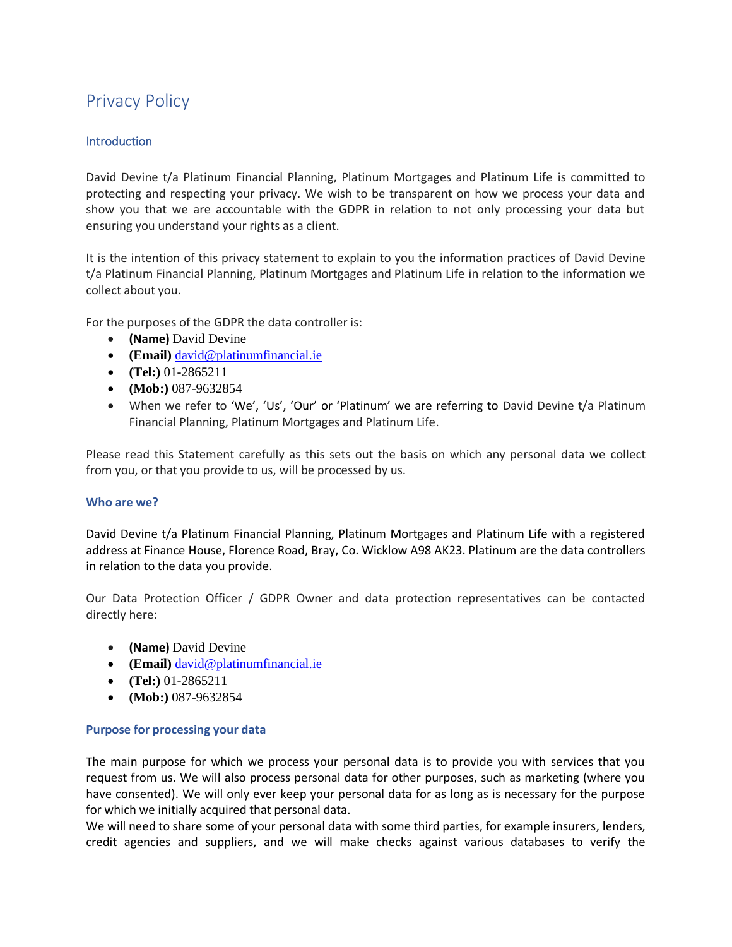# Privacy Policy

# **Introduction**

David Devine t/a Platinum Financial Planning, Platinum Mortgages and Platinum Life is committed to protecting and respecting your privacy. We wish to be transparent on how we process your data and show you that we are accountable with the GDPR in relation to not only processing your data but ensuring you understand your rights as a client.

It is the intention of this privacy statement to explain to you the information practices of David Devine t/a Platinum Financial Planning, Platinum Mortgages and Platinum Life in relation to the information we collect about you.

For the purposes of the GDPR the data controller is:

- **(Name)** David Devine
- **(Email)** [david@platinumfinancial.ie](mailto:david@platinumfinancial.ie)
- **(Tel:)** 01-2865211
- **(Mob:)** 087-9632854
- When we refer to 'We', 'Us', 'Our' or 'Platinum' we are referring to David Devine t/a Platinum Financial Planning, Platinum Mortgages and Platinum Life.

Please read this Statement carefully as this sets out the basis on which any personal data we collect from you, or that you provide to us, will be processed by us.

#### **Who are we?**

David Devine t/a Platinum Financial Planning, Platinum Mortgages and Platinum Life with a registered address at Finance House, Florence Road, Bray, Co. Wicklow A98 AK23. Platinum are the data controllers in relation to the data you provide.

Our Data Protection Officer / GDPR Owner and data protection representatives can be contacted directly here:

- **(Name)** David Devine
- **(Email)** [david@platinumfinancial.ie](mailto:david@platinumfinancial.ie)
- **(Tel:)** 01-2865211
- **(Mob:)** 087-9632854

#### **Purpose for processing your data**

The main purpose for which we process your personal data is to provide you with services that you request from us. We will also process personal data for other purposes, such as marketing (where you have consented). We will only ever keep your personal data for as long as is necessary for the purpose for which we initially acquired that personal data.

We will need to share some of your personal data with some third parties, for example insurers, lenders, credit agencies and suppliers, and we will make checks against various databases to verify the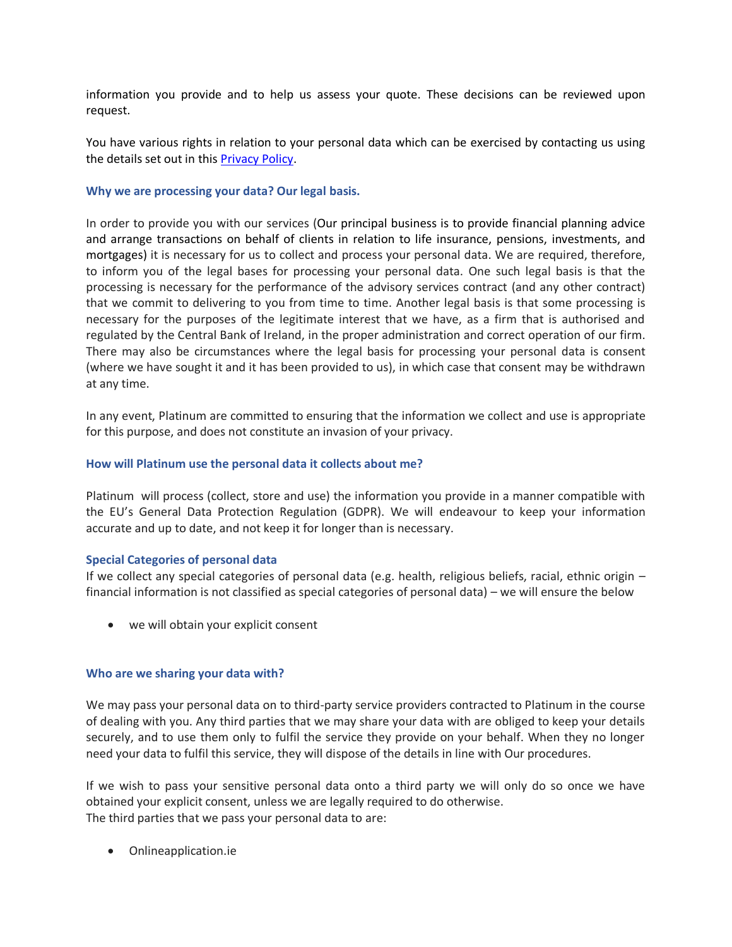information you provide and to help us assess your quote. These decisions can be reviewed upon request.

You have various rights in relation to your personal data which can be exercised by contacting us using the details set out in thi[s Privacy Policy.](https://platinummortgages.ie/privacy-policy)

# **Why we are processing your data? Our legal basis.**

In order to provide you with our services (Our principal business is to provide financial planning advice and arrange transactions on behalf of clients in relation to life insurance, pensions, investments, and mortgages) it is necessary for us to collect and process your personal data. We are required, therefore, to inform you of the legal bases for processing your personal data. One such legal basis is that the processing is necessary for the performance of the advisory services contract (and any other contract) that we commit to delivering to you from time to time. Another legal basis is that some processing is necessary for the purposes of the legitimate interest that we have, as a firm that is authorised and regulated by the Central Bank of Ireland, in the proper administration and correct operation of our firm. There may also be circumstances where the legal basis for processing your personal data is consent (where we have sought it and it has been provided to us), in which case that consent may be withdrawn at any time.

In any event, Platinum are committed to ensuring that the information we collect and use is appropriate for this purpose, and does not constitute an invasion of your privacy.

# **How will Platinum use the personal data it collects about me?**

Platinum will process (collect, store and use) the information you provide in a manner compatible with the EU's General Data Protection Regulation (GDPR). We will endeavour to keep your information accurate and up to date, and not keep it for longer than is necessary.

#### **Special Categories of personal data**

If we collect any special categories of personal data (e.g. health, religious beliefs, racial, ethnic origin – financial information is not classified as special categories of personal data) – we will ensure the below

• we will obtain your explicit consent

#### **Who are we sharing your data with?**

We may pass your personal data on to third-party service providers contracted to Platinum in the course of dealing with you. Any third parties that we may share your data with are obliged to keep your details securely, and to use them only to fulfil the service they provide on your behalf. When they no longer need your data to fulfil this service, they will dispose of the details in line with Our procedures.

If we wish to pass your sensitive personal data onto a third party we will only do so once we have obtained your explicit consent, unless we are legally required to do otherwise. The third parties that we pass your personal data to are:

• Onlineapplication.ie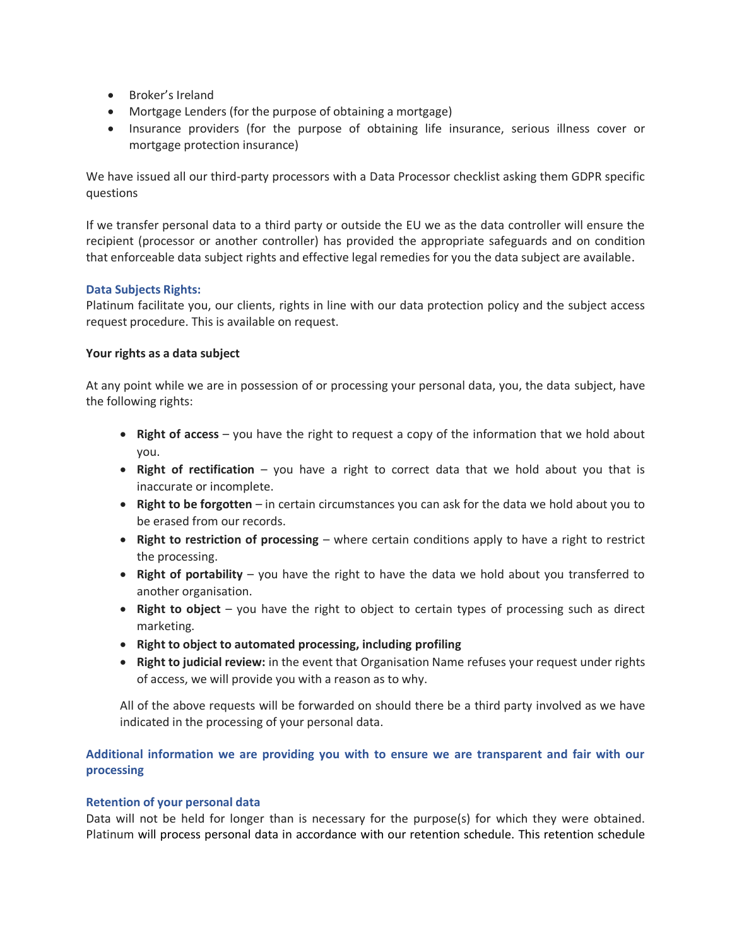- Broker's Ireland
- Mortgage Lenders (for the purpose of obtaining a mortgage)
- Insurance providers (for the purpose of obtaining life insurance, serious illness cover or mortgage protection insurance)

We have issued all our third-party processors with a Data Processor checklist asking them GDPR specific questions

If we transfer personal data to a third party or outside the EU we as the data controller will ensure the recipient (processor or another controller) has provided the appropriate safeguards and on condition that enforceable data subject rights and effective legal remedies for you the data subject are available.

# **Data Subjects Rights:**

Platinum facilitate you, our clients, rights in line with our data protection policy and the subject access request procedure. This is available on request.

# **Your rights as a data subject**

At any point while we are in possession of or processing your personal data, you, the data subject, have the following rights:

- **Right of access** you have the right to request a copy of the information that we hold about you.
- **Right of rectification** you have a right to correct data that we hold about you that is inaccurate or incomplete.
- **Right to be forgotten** in certain circumstances you can ask for the data we hold about you to be erased from our records.
- **Right to restriction of processing** where certain conditions apply to have a right to restrict the processing.
- **Right of portability** you have the right to have the data we hold about you transferred to another organisation.
- **Right to object** you have the right to object to certain types of processing such as direct marketing.
- **Right to object to automated processing, including profiling**
- **Right to judicial review:** in the event that Organisation Name refuses your request under rights of access, we will provide you with a reason as to why.

All of the above requests will be forwarded on should there be a third party involved as we have indicated in the processing of your personal data.

# **Additional information we are providing you with to ensure we are transparent and fair with our processing**

# **Retention of your personal data**

Data will not be held for longer than is necessary for the purpose(s) for which they were obtained. Platinum will process personal data in accordance with our retention schedule. This retention schedule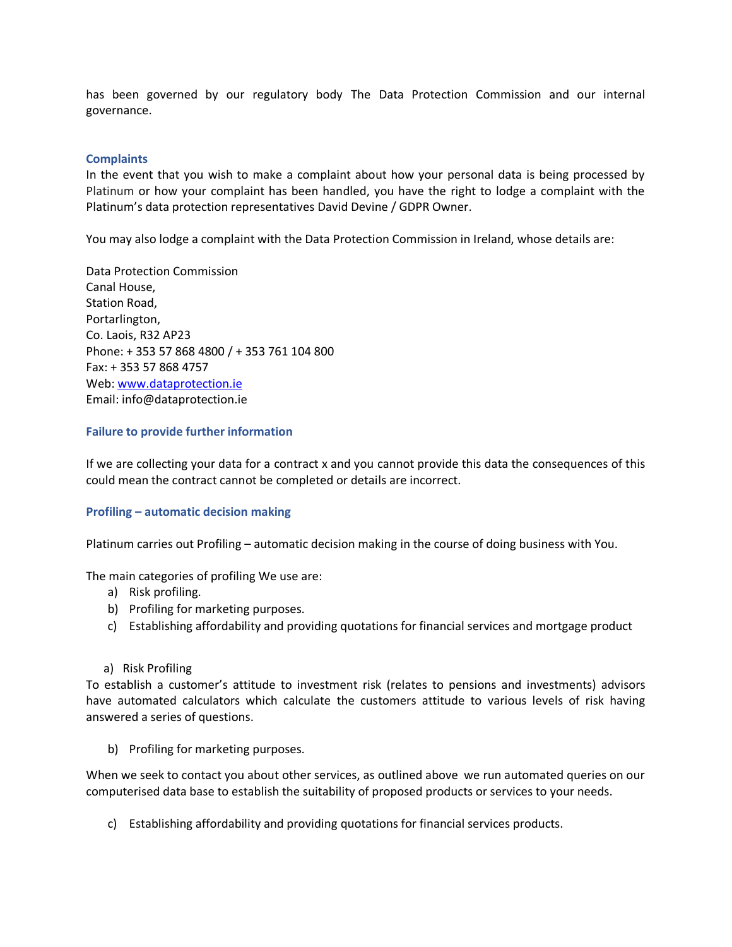has been governed by our regulatory body The Data Protection Commission and our internal governance.

# **Complaints**

In the event that you wish to make a complaint about how your personal data is being processed by Platinum or how your complaint has been handled, you have the right to lodge a complaint with the Platinum's data protection representatives David Devine / GDPR Owner.

You may also lodge a complaint with the Data Protection Commission in Ireland, whose details are:

Data Protection Commission Canal House, Station Road, Portarlington, Co. Laois, R32 AP23 Phone: + 353 57 868 4800 / + 353 761 104 800 Fax: + 353 57 868 4757 Web[: www.dataprotection.ie](http://www.dataprotection.ie/) Email: info@dataprotection.ie

# **Failure to provide further information**

If we are collecting your data for a contract x and you cannot provide this data the consequences of this could mean the contract cannot be completed or details are incorrect.

#### **Profiling – automatic decision making**

Platinum carries out Profiling – automatic decision making in the course of doing business with You.

The main categories of profiling We use are:

- a) Risk profiling.
- b) Profiling for marketing purposes.
- c) Establishing affordability and providing quotations for financial services and mortgage product
- a) Risk Profiling

To establish a customer's attitude to investment risk (relates to pensions and investments) advisors have automated calculators which calculate the customers attitude to various levels of risk having answered a series of questions.

b) Profiling for marketing purposes.

When we seek to contact you about other services, as outlined above we run automated queries on our computerised data base to establish the suitability of proposed products or services to your needs.

c) Establishing affordability and providing quotations for financial services products.